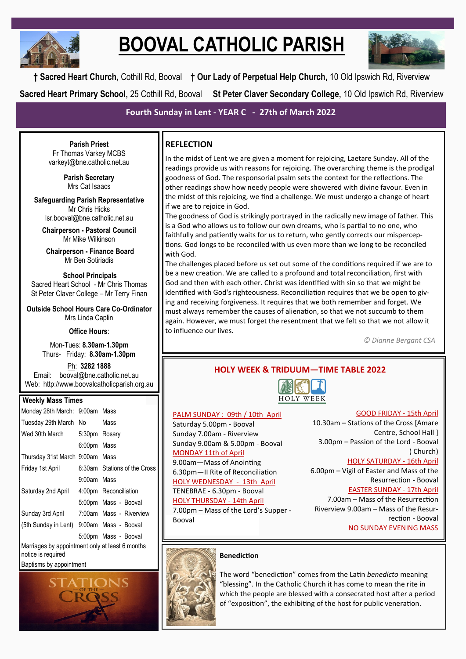

# **BOOVAL CATHOLIC PARISH**



**† Sacred Heart Church,** Cothill Rd, Booval **† Our Lady of Perpetual Help Church,** 10 Old Ipswich Rd, Riverview **Sacred Heart Primary School,** 25 Cothill Rd, Booval **St Peter Claver Secondary College,** 10 Old Ipswich Rd, Riverview

**Fourth Sunday in Lent - YEAR C - 27th of March 2022**

**Parish Priest** Fr Thomas Varkey MCBS varkeyt@bne.catholic.net.au

> **Parish Secretary** Mrs Cat Isaacs

**Safeguarding Parish Representative** Mr Chris Hicks [lsr.booval@bne.catholic.net.au](mailto:lsr.booval@bne.catholi.net.au)

**Chairperson - Pastoral Council** Mr Mike Wilkinson

**Chairperson - Finance Board** Mr Ben Sotiriadis

### **School Principals** Sacred Heart School - Mr Chris Thomas St Peter Claver College – Mr Terry Finan

**Outside School Hours Care Co-Ordinator** Mrs Linda Caplin

### **Office Hours**:

Mon-Tues: **8.30am-1.30pm** Thurs- Friday: **8.30am-1.30pm**

Ph: **3282 1888**  Email: booval@bne.catholic.net.au Web: http://www.boovalcatholicparish.org.au

### **Weekly Mass Times**

| Monday 28th March: 9:00am Mass                                        |               |                              |  |
|-----------------------------------------------------------------------|---------------|------------------------------|--|
| Tuesday 29th March No                                                 |               | Mass                         |  |
| Wed 30th March                                                        | 5:30pm Rosary |                              |  |
|                                                                       | 6:00pm Mass   |                              |  |
| Thursday 31st March 9:00am Mass                                       |               |                              |  |
| Friday 1st April                                                      |               | 8:30am Stations of the Cross |  |
|                                                                       | 9:00am Mass   |                              |  |
| Saturday 2nd April                                                    |               | 4:00pm Reconciliation        |  |
|                                                                       |               | 5:00pm Mass - Booval         |  |
| Sunday 3rd April                                                      |               | 7:00am Mass - Riverview      |  |
| (5th Sunday in Lent)                                                  |               | 9:00am Mass - Booval         |  |
|                                                                       |               | 5:00pm Mass - Booval         |  |
| Marriages by appointment only at least 6 months<br>notice is required |               |                              |  |

### Baptisms by appointment



### **REFLECTION**

In the midst of Lent we are given a moment for rejoicing, Laetare Sunday. All of the readings provide us with reasons for rejoicing. The overarching theme is the prodigal goodness of God. The responsorial psalm sets the context for the reflections. The other readings show how needy people were showered with divine favour. Even in the midst of this rejoicing, we find a challenge. We must undergo a change of heart if we are to rejoice in God.

The goodness of God is strikingly portrayed in the radically new image of father. This is a God who allows us to follow our own dreams, who is partial to no one, who faithfully and patiently waits for us to return, who gently corrects our misperceptions. God longs to be reconciled with us even more than we long to be reconciled with God.

The challenges placed before us set out some of the conditions required if we are to be a new creation. We are called to a profound and total reconciliation, first with God and then with each other. Christ was identified with sin so that we might be identified with God's righteousness. Reconciliation requires that we be open to giving and receiving forgiveness. It requires that we both remember and forget. We must always remember the causes of alienation, so that we not succumb to them again. However, we must forget the resentment that we felt so that we not allow it to influence our lives.

*© Dianne Bergant CSA*

### **HOLY WEEK & TRIDUUM—TIME TABLE 2022**



### PALM SUNDAY : 09th / 10th April

Saturday 5.00pm - Booval Sunday 7.00am - Riverview Sunday 9.00am & 5.00pm - Booval MONDAY 11th of April 9.00am—Mass of Anointing 6.30pm—II Rite of Reconciliation

### HOLY WEDNESDAY - 13th April

TENEBRAE - 6.30pm - Booval HOLY THURSDAY - 14th April 7.00pm – Mass of the Lord's Supper - Booval

### GOOD FRIDAY - 15th April

10.30am – Stations of the Cross [Amare Centre, School Hall ] 3.00pm – Passion of the Lord - Booval ( Church) HOLY SATURDAY - 16th April

6.00pm – Vigil of Easter and Mass of the Resurrection - Booval

### EASTER SUNDAY - 17th April

7.00am – Mass of the Resurrection Riverview 9.00am – Mass of the Resurrection - Booval NO SUNDAY EVENING MASS

## **Benediction**



The word "benediction" comes from the Latin *benedicto* meaning "blessing". In the Catholic Church it has come to mean the rite in which the people are blessed with a consecrated host after a period of "exposition", the exhibiting of the host for public veneration.